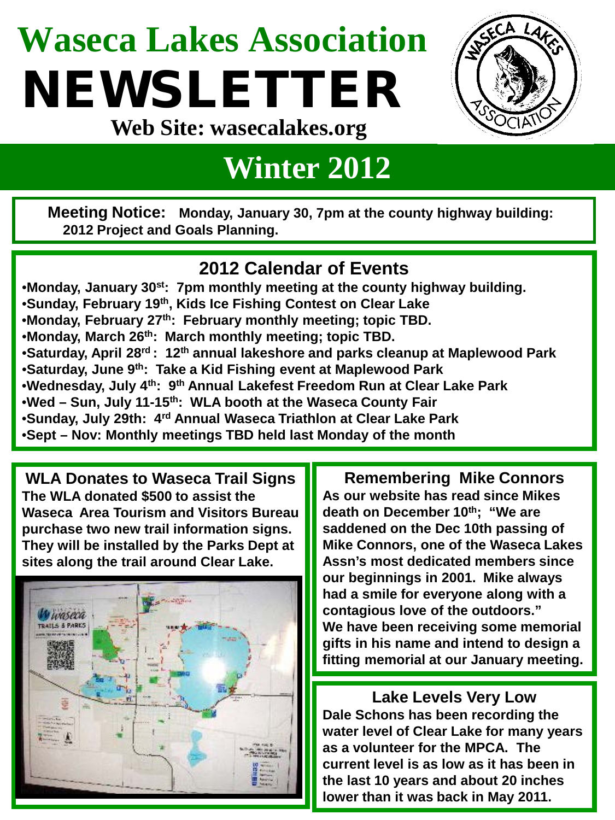## **Waseca Lakes Association** NEWSLETTER **Web Site: wasecalakes.org**



### **Winter 2012**

**Meeting Notice: Monday, January 30, 7pm at the county highway building: 2012 Project and Goals Planning.**

### **2012 Calendar of Events**

•**Monday, January 30st: 7pm monthly meeting at the county highway building.** •**Sunday, February 19th, Kids Ice Fishing Contest on Clear Lake**  •**Monday, February 27th: February monthly meeting; topic TBD.** •**Monday, March 26th: March monthly meeting; topic TBD.** •**Saturday, April 28rd : 12th annual lakeshore and parks cleanup at Maplewood Park** •**Saturday, June 9th: Take a Kid Fishing event at Maplewood Park** •**Wednesday, July 4th: 9th Annual Lakefest Freedom Run at Clear Lake Park** •**Wed – Sun, July 11-15th: WLA booth at the Waseca County Fair** •**Sunday, July 29th: 4rd Annual Waseca Triathlon at Clear Lake Park** •**Sept – Nov: Monthly meetings TBD held last Monday of the month**

**WLA Donates to Waseca Trail Signs The WLA donated \$500 to assist the Waseca Area Tourism and Visitors Bureau purchase two new trail information signs. They will be installed by the Parks Dept at sites along the trail around Clear Lake.**



**Remembering Mike Connors As our website has read since Mikes death on December 10th; "We are saddened on the Dec 10th passing of Mike Connors, one of the Waseca Lakes Assn's most dedicated members since our beginnings in 2001. Mike always had a smile for everyone along with a contagious love of the outdoors." We have been receiving some memorial gifts in his name and intend to design a fitting memorial at our January meeting.**

**Lake Levels Very Low Dale Schons has been recording the water level of Clear Lake for many years as a volunteer for the MPCA. The current level is as low as it has been in the last 10 years and about 20 inches lower than it was back in May 2011.**